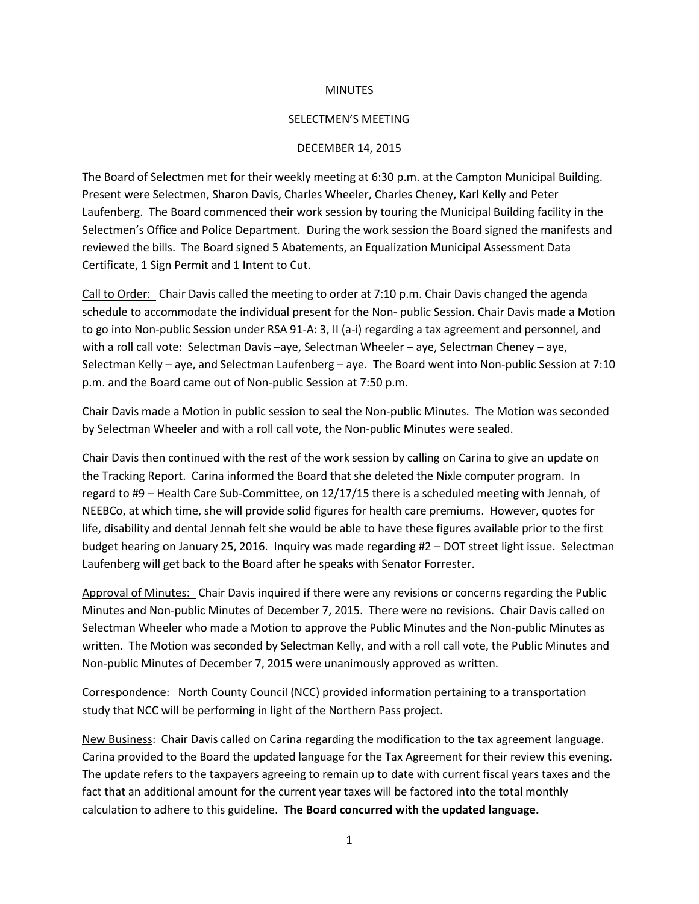## **MINUTES**

## SELECTMEN'S MEETING

## DECEMBER 14, 2015

The Board of Selectmen met for their weekly meeting at 6:30 p.m. at the Campton Municipal Building. Present were Selectmen, Sharon Davis, Charles Wheeler, Charles Cheney, Karl Kelly and Peter Laufenberg. The Board commenced their work session by touring the Municipal Building facility in the Selectmen's Office and Police Department. During the work session the Board signed the manifests and reviewed the bills. The Board signed 5 Abatements, an Equalization Municipal Assessment Data Certificate, 1 Sign Permit and 1 Intent to Cut.

Call to Order: Chair Davis called the meeting to order at 7:10 p.m. Chair Davis changed the agenda schedule to accommodate the individual present for the Non- public Session. Chair Davis made a Motion to go into Non-public Session under RSA 91-A: 3, II (a-i) regarding a tax agreement and personnel, and with a roll call vote: Selectman Davis -aye, Selectman Wheeler - aye, Selectman Cheney - aye, Selectman Kelly – aye, and Selectman Laufenberg – aye. The Board went into Non-public Session at 7:10 p.m. and the Board came out of Non-public Session at 7:50 p.m.

Chair Davis made a Motion in public session to seal the Non-public Minutes. The Motion was seconded by Selectman Wheeler and with a roll call vote, the Non-public Minutes were sealed.

Chair Davis then continued with the rest of the work session by calling on Carina to give an update on the Tracking Report. Carina informed the Board that she deleted the Nixle computer program. In regard to #9 – Health Care Sub-Committee, on 12/17/15 there is a scheduled meeting with Jennah, of NEEBCo, at which time, she will provide solid figures for health care premiums. However, quotes for life, disability and dental Jennah felt she would be able to have these figures available prior to the first budget hearing on January 25, 2016. Inquiry was made regarding #2 – DOT street light issue. Selectman Laufenberg will get back to the Board after he speaks with Senator Forrester.

Approval of Minutes: Chair Davis inquired if there were any revisions or concerns regarding the Public Minutes and Non-public Minutes of December 7, 2015. There were no revisions. Chair Davis called on Selectman Wheeler who made a Motion to approve the Public Minutes and the Non-public Minutes as written. The Motion was seconded by Selectman Kelly, and with a roll call vote, the Public Minutes and Non-public Minutes of December 7, 2015 were unanimously approved as written.

Correspondence: North County Council (NCC) provided information pertaining to a transportation study that NCC will be performing in light of the Northern Pass project.

New Business: Chair Davis called on Carina regarding the modification to the tax agreement language. Carina provided to the Board the updated language for the Tax Agreement for their review this evening. The update refers to the taxpayers agreeing to remain up to date with current fiscal years taxes and the fact that an additional amount for the current year taxes will be factored into the total monthly calculation to adhere to this guideline. **The Board concurred with the updated language.**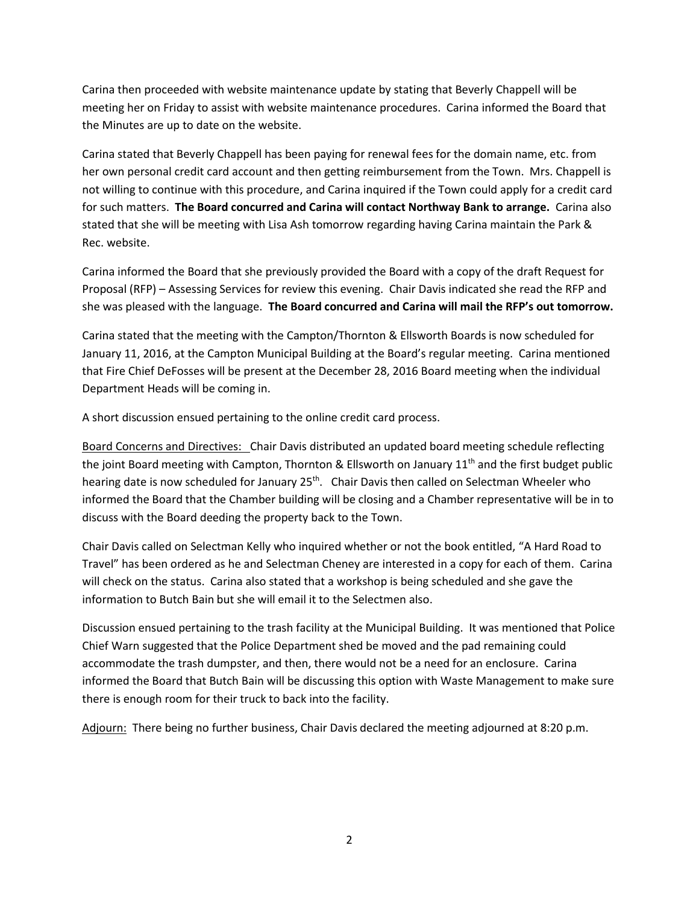Carina then proceeded with website maintenance update by stating that Beverly Chappell will be meeting her on Friday to assist with website maintenance procedures. Carina informed the Board that the Minutes are up to date on the website.

Carina stated that Beverly Chappell has been paying for renewal fees for the domain name, etc. from her own personal credit card account and then getting reimbursement from the Town. Mrs. Chappell is not willing to continue with this procedure, and Carina inquired if the Town could apply for a credit card for such matters. **The Board concurred and Carina will contact Northway Bank to arrange.** Carina also stated that she will be meeting with Lisa Ash tomorrow regarding having Carina maintain the Park & Rec. website.

Carina informed the Board that she previously provided the Board with a copy of the draft Request for Proposal (RFP) – Assessing Services for review this evening. Chair Davis indicated she read the RFP and she was pleased with the language. **The Board concurred and Carina will mail the RFP's out tomorrow.**

Carina stated that the meeting with the Campton/Thornton & Ellsworth Boards is now scheduled for January 11, 2016, at the Campton Municipal Building at the Board's regular meeting. Carina mentioned that Fire Chief DeFosses will be present at the December 28, 2016 Board meeting when the individual Department Heads will be coming in.

A short discussion ensued pertaining to the online credit card process.

Board Concerns and Directives: Chair Davis distributed an updated board meeting schedule reflecting the joint Board meeting with Campton, Thornton & Ellsworth on January 11<sup>th</sup> and the first budget public hearing date is now scheduled for January 25<sup>th</sup>. Chair Davis then called on Selectman Wheeler who informed the Board that the Chamber building will be closing and a Chamber representative will be in to discuss with the Board deeding the property back to the Town.

Chair Davis called on Selectman Kelly who inquired whether or not the book entitled, "A Hard Road to Travel" has been ordered as he and Selectman Cheney are interested in a copy for each of them. Carina will check on the status. Carina also stated that a workshop is being scheduled and she gave the information to Butch Bain but she will email it to the Selectmen also.

Discussion ensued pertaining to the trash facility at the Municipal Building. It was mentioned that Police Chief Warn suggested that the Police Department shed be moved and the pad remaining could accommodate the trash dumpster, and then, there would not be a need for an enclosure. Carina informed the Board that Butch Bain will be discussing this option with Waste Management to make sure there is enough room for their truck to back into the facility.

Adjourn: There being no further business, Chair Davis declared the meeting adjourned at 8:20 p.m.